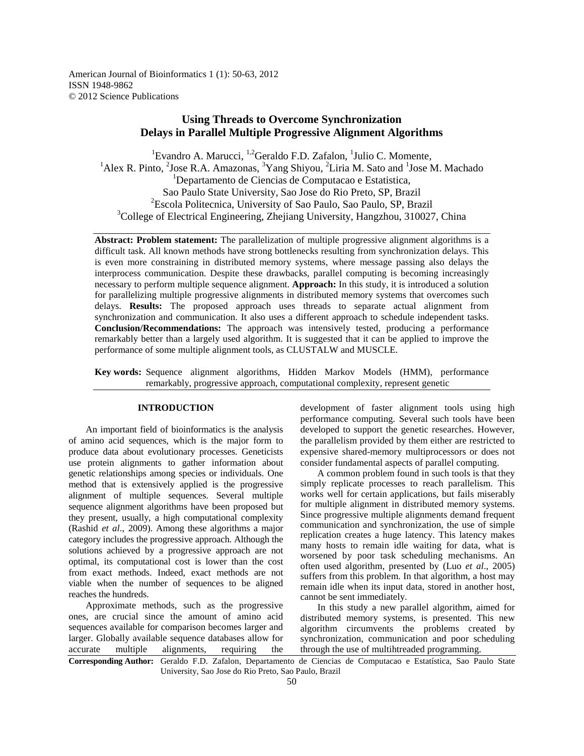American Journal of Bioinformatics 1 (1): 50-63, 2012 ISSN 1948-9862 © 2012 Science Publications

# **Using Threads to Overcome Synchronization Delays in Parallel Multiple Progressive Alignment Algorithms**

<sup>1</sup>Evandro A. Marucci, <sup>1,2</sup>Geraldo F.D. Zafalon, <sup>1</sup>Julio C. Momente,  ${}^{1}$ Alex R. Pinto,  ${}^{2}$ Jose R.A. Amazonas,  ${}^{3}$ Yang Shiyou,  ${}^{2}$ Liria M. Sato and  ${}^{1}$ Jose M. Machado <sup>1</sup>Departamento de Ciencias de Computacao e Estatistica, Sao Paulo State University, Sao Jose do Rio Preto, SP, Brazil <sup>2</sup>Escola Politecnica, University of Sao Paulo, Sao Paulo, SP, Brazil <sup>3</sup>College of Electrical Engineering, Zhejiang University, Hangzhou, 310027, China

**Abstract: Problem statement:** The parallelization of multiple progressive alignment algorithms is a difficult task. All known methods have strong bottlenecks resulting from synchronization delays. This is even more constraining in distributed memory systems, where message passing also delays the interprocess communication. Despite these drawbacks, parallel computing is becoming increasingly necessary to perform multiple sequence alignment. **Approach:** In this study, it is introduced a solution for parallelizing multiple progressive alignments in distributed memory systems that overcomes such delays. **Results:** The proposed approach uses threads to separate actual alignment from synchronization and communication. It also uses a different approach to schedule independent tasks. **Conclusion/Recommendations:** The approach was intensively tested, producing a performance remarkably better than a largely used algorithm. It is suggested that it can be applied to improve the performance of some multiple alignment tools, as CLUSTALW and MUSCLE.

**Key words:** Sequence alignment algorithms, Hidden Markov Models (HMM), performance remarkably, progressive approach, computational complexity, represent genetic

# **INTRODUCTION**

 An important field of bioinformatics is the analysis of amino acid sequences, which is the major form to produce data about evolutionary processes. Geneticists use protein alignments to gather information about genetic relationships among species or individuals. One method that is extensively applied is the progressive alignment of multiple sequences. Several multiple sequence alignment algorithms have been proposed but they present, usually, a high computational complexity (Rashid *et al*., 2009). Among these algorithms a major category includes the progressive approach. Although the solutions achieved by a progressive approach are not optimal, its computational cost is lower than the cost from exact methods. Indeed, exact methods are not viable when the number of sequences to be aligned reaches the hundreds.

 Approximate methods, such as the progressive ones, are crucial since the amount of amino acid sequences available for comparison becomes larger and larger. Globally available sequence databases allow for accurate multiple alignments, requiring the

development of faster alignment tools using high performance computing. Several such tools have been developed to support the genetic researches. However, the parallelism provided by them either are restricted to expensive shared-memory multiprocessors or does not consider fundamental aspects of parallel computing.

 A common problem found in such tools is that they simply replicate processes to reach parallelism. This works well for certain applications, but fails miserably for multiple alignment in distributed memory systems. Since progressive multiple alignments demand frequent communication and synchronization, the use of simple replication creates a huge latency. This latency makes many hosts to remain idle waiting for data, what is worsened by poor task scheduling mechanisms. An often used algorithm, presented by (Luo *et al*., 2005) suffers from this problem. In that algorithm, a host may remain idle when its input data, stored in another host, cannot be sent immediately.

 In this study a new parallel algorithm, aimed for distributed memory systems, is presented. This new algorithm circumvents the problems created by synchronization, communication and poor scheduling through the use of multihtreaded programming.

**Corresponding Author:** Geraldo F.D. Zafalon, Departamento de Ciencias de Computacao e Estatística, Sao Paulo State University, Sao Jose do Rio Preto, Sao Paulo, Brazil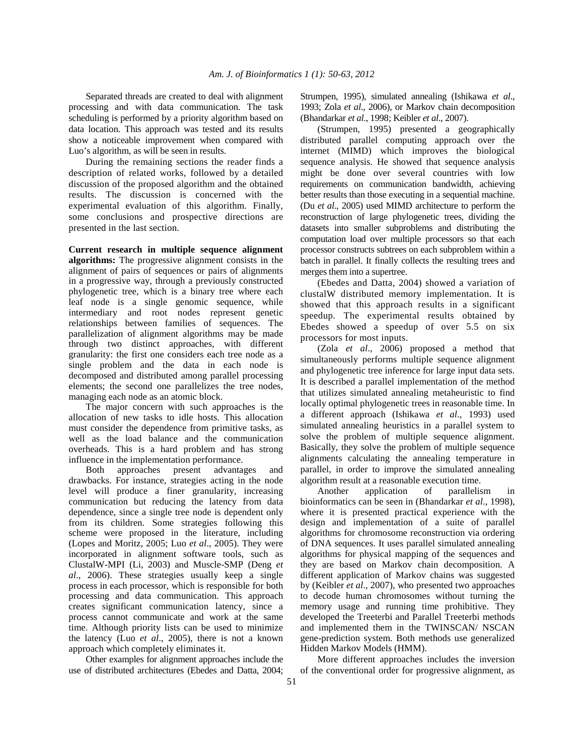Separated threads are created to deal with alignment processing and with data communication. The task scheduling is performed by a priority algorithm based on data location. This approach was tested and its results show a noticeable improvement when compared with Luo's algorithm, as will be seen in results.

 During the remaining sections the reader finds a description of related works, followed by a detailed discussion of the proposed algorithm and the obtained results. The discussion is concerned with the experimental evaluation of this algorithm. Finally, some conclusions and prospective directions are presented in the last section.

**Current research in multiple sequence alignment algorithms:** The progressive alignment consists in the alignment of pairs of sequences or pairs of alignments in a progressive way, through a previously constructed phylogenetic tree, which is a binary tree where each leaf node is a single genomic sequence, while intermediary and root nodes represent genetic relationships between families of sequences. The parallelization of alignment algorithms may be made through two distinct approaches, with different granularity: the first one considers each tree node as a single problem and the data in each node is decomposed and distributed among parallel processing elements; the second one parallelizes the tree nodes, managing each node as an atomic block.

 The major concern with such approaches is the allocation of new tasks to idle hosts. This allocation must consider the dependence from primitive tasks, as well as the load balance and the communication overheads. This is a hard problem and has strong influence in the implementation performance.

 Both approaches present advantages and drawbacks. For instance, strategies acting in the node level will produce a finer granularity, increasing communication but reducing the latency from data dependence, since a single tree node is dependent only from its children. Some strategies following this scheme were proposed in the literature, including (Lopes and Moritz, 2005; Luo *et al*., 2005). They were incorporated in alignment software tools, such as ClustalW-MPI (Li, 2003) and Muscle-SMP (Deng *et al*., 2006). These strategies usually keep a single process in each processor, which is responsible for both processing and data communication. This approach creates significant communication latency, since a process cannot communicate and work at the same time. Although priority lists can be used to minimize the latency (Luo *et al*., 2005), there is not a known approach which completely eliminates it.

 Other examples for alignment approaches include the use of distributed architectures (Ebedes and Datta, 2004; Strumpen, 1995), simulated annealing (Ishikawa *et al*., 1993; Zola *et al*., 2006), or Markov chain decomposition (Bhandarkar *et al*., 1998; Keibler *et al*., 2007).

 (Strumpen, 1995) presented a geographically distributed parallel computing approach over the internet (MIMD) which improves the biological sequence analysis. He showed that sequence analysis might be done over several countries with low requirements on communication bandwidth, achieving better results than those executing in a sequential machine. (Du *et al*., 2005) used MIMD architecture to perform the reconstruction of large phylogenetic trees, dividing the datasets into smaller subproblems and distributing the computation load over multiple processors so that each processor constructs subtrees on each subproblem within a batch in parallel. It finally collects the resulting trees and merges them into a supertree.

 (Ebedes and Datta, 2004) showed a variation of clustalW distributed memory implementation. It is showed that this approach results in a significant speedup. The experimental results obtained by Ebedes showed a speedup of over 5.5 on six processors for most inputs.

 (Zola *et al*., 2006) proposed a method that simultaneously performs multiple sequence alignment and phylogenetic tree inference for large input data sets. It is described a parallel implementation of the method that utilizes simulated annealing metaheuristic to find locally optimal phylogenetic trees in reasonable time. In a different approach (Ishikawa *et al*., 1993) used simulated annealing heuristics in a parallel system to solve the problem of multiple sequence alignment. Basically, they solve the problem of multiple sequence alignments calculating the annealing temperature in parallel, in order to improve the simulated annealing algorithm result at a reasonable execution time.

 Another application of parallelism in bioinformatics can be seen in (Bhandarkar *et al*., 1998), where it is presented practical experience with the design and implementation of a suite of parallel algorithms for chromosome reconstruction via ordering of DNA sequences. It uses parallel simulated annealing algorithms for physical mapping of the sequences and they are based on Markov chain decomposition. A different application of Markov chains was suggested by (Keibler *et al*., 2007), who presented two approaches to decode human chromosomes without turning the memory usage and running time prohibitive. They developed the Treeterbi and Parallel Treeterbi methods and implemented them in the TWINSCAN/ NSCAN gene-prediction system. Both methods use generalized Hidden Markov Models (HMM).

 More different approaches includes the inversion of the conventional order for progressive alignment, as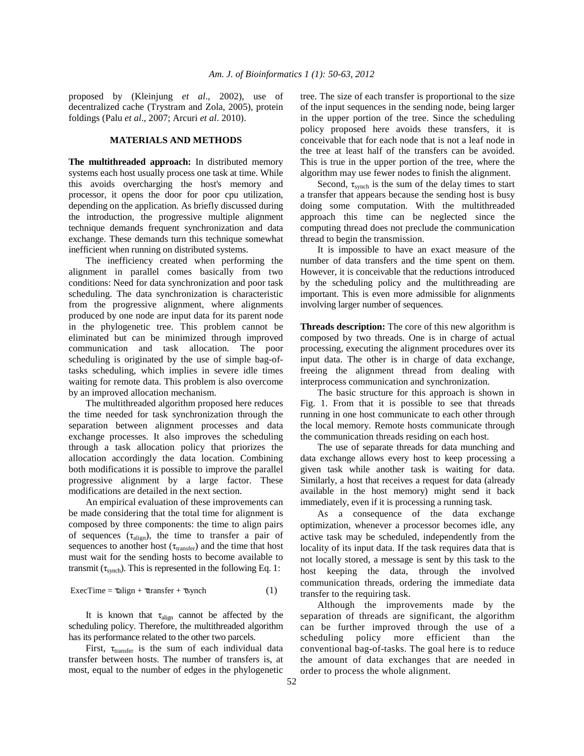proposed by (Kleinjung *et al*., 2002), use of decentralized cache (Trystram and Zola, 2005), protein foldings (Palu *et al*., 2007; Arcuri *et al*. 2010).

# **MATERIALS AND METHODS**

**The multithreaded approach:** In distributed memory systems each host usually process one task at time. While this avoids overcharging the host's memory and processor, it opens the door for poor cpu utilization, depending on the application. As briefly discussed during the introduction, the progressive multiple alignment technique demands frequent synchronization and data exchange. These demands turn this technique somewhat inefficient when running on distributed systems.

 The inefficiency created when performing the alignment in parallel comes basically from two conditions: Need for data synchronization and poor task scheduling. The data synchronization is characteristic from the progressive alignment, where alignments produced by one node are input data for its parent node in the phylogenetic tree. This problem cannot be eliminated but can be minimized through improved communication and task allocation. The poor scheduling is originated by the use of simple bag-oftasks scheduling, which implies in severe idle times waiting for remote data. This problem is also overcome by an improved allocation mechanism.

 The multithreaded algorithm proposed here reduces the time needed for task synchronization through the separation between alignment processes and data exchange processes. It also improves the scheduling through a task allocation policy that priorizes the allocation accordingly the data location. Combining both modifications it is possible to improve the parallel progressive alignment by a large factor. These modifications are detailed in the next section.

 An empirical evaluation of these improvements can be made considering that the total time for alignment is composed by three components: the time to align pairs of sequences  $(\tau_{\text{align}})$ , the time to transfer a pair of sequences to another host ( $\tau_{\text{transfer}}$ ) and the time that host must wait for the sending hosts to become available to transmit ( $\tau_{\text{synch}}$ ). This is represented in the following Eq. 1:

$$
ExecTime = \tau align + \tau transfer + \tau synch
$$
 (1)

It is known that  $\tau_{\text{align}}$  cannot be affected by the scheduling policy. Therefore, the multithreaded algorithm has its performance related to the other two parcels.

First,  $\tau_{\text{transfer}}$  is the sum of each individual data transfer between hosts. The number of transfers is, at most, equal to the number of edges in the phylogenetic tree. The size of each transfer is proportional to the size of the input sequences in the sending node, being larger in the upper portion of the tree. Since the scheduling policy proposed here avoids these transfers, it is conceivable that for each node that is not a leaf node in the tree at least half of the transfers can be avoided. This is true in the upper portion of the tree, where the algorithm may use fewer nodes to finish the alignment.

Second,  $\tau_{\text{synch}}$  is the sum of the delay times to start a transfer that appears because the sending host is busy doing some computation. With the multithreaded approach this time can be neglected since the computing thread does not preclude the communication thread to begin the transmission.

 It is impossible to have an exact measure of the number of data transfers and the time spent on them. However, it is conceivable that the reductions introduced by the scheduling policy and the multithreading are important. This is even more admissible for alignments involving larger number of sequences.

**Threads description:** The core of this new algorithm is composed by two threads. One is in charge of actual processing, executing the alignment procedures over its input data. The other is in charge of data exchange, freeing the alignment thread from dealing with interprocess communication and synchronization.

 The basic structure for this approach is shown in Fig. 1. From that it is possible to see that threads running in one host communicate to each other through the local memory. Remote hosts communicate through the communication threads residing on each host.

 The use of separate threads for data munching and data exchange allows every host to keep processing a given task while another task is waiting for data. Similarly, a host that receives a request for data (already available in the host memory) might send it back immediately, even if it is processing a running task.

 As a consequence of the data exchange optimization, whenever a processor becomes idle, any active task may be scheduled, independently from the locality of its input data. If the task requires data that is not locally stored, a message is sent by this task to the host keeping the data, through the involved communication threads, ordering the immediate data transfer to the requiring task.

 Although the improvements made by the separation of threads are significant, the algorithm can be further improved through the use of a scheduling policy more efficient than the conventional bag-of-tasks. The goal here is to reduce the amount of data exchanges that are needed in order to process the whole alignment.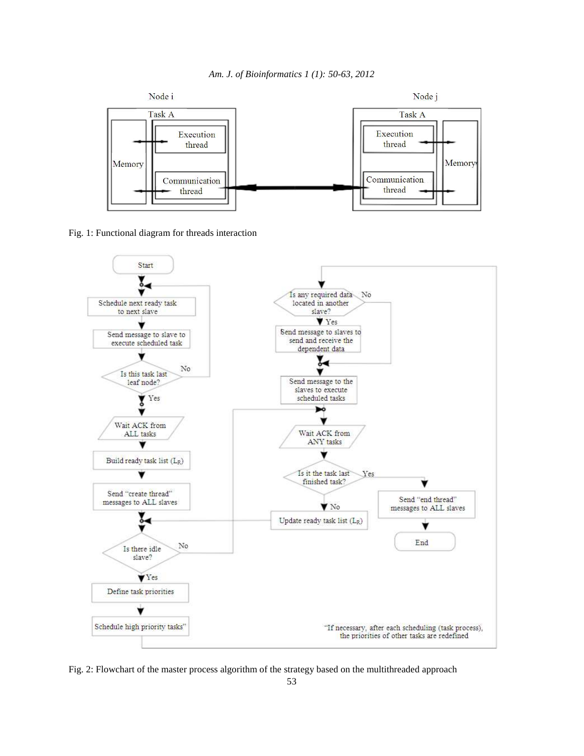



Fig. 1: Functional diagram for threads interaction



Fig. 2: Flowchart of the master process algorithm of the strategy based on the multithreaded approach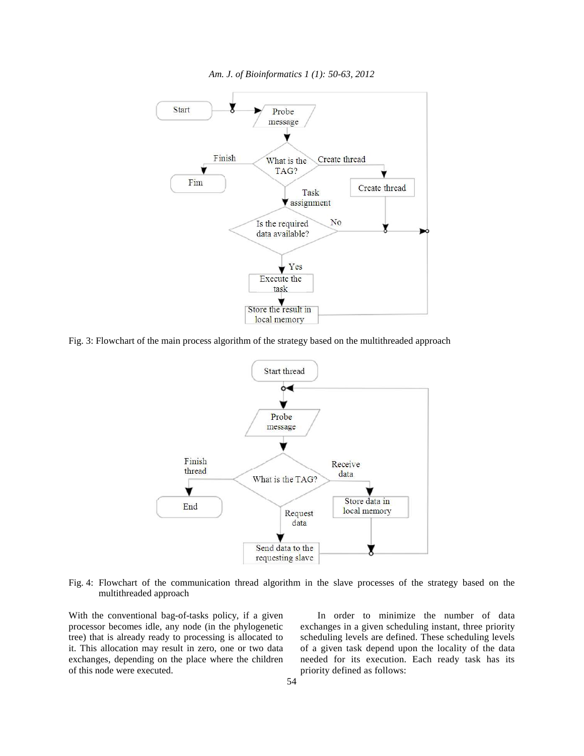

*Am. J. of Bioinformatics 1 (1): 50-63, 2012* 

Fig. 3: Flowchart of the main process algorithm of the strategy based on the multithreaded approach



Fig. 4: Flowchart of the communication thread algorithm in the slave processes of the strategy based on the multithreaded approach

With the conventional bag-of-tasks policy, if a given processor becomes idle, any node (in the phylogenetic tree) that is already ready to processing is allocated to it. This allocation may result in zero, one or two data exchanges, depending on the place where the children of this node were executed.

 In order to minimize the number of data exchanges in a given scheduling instant, three priority scheduling levels are defined. These scheduling levels of a given task depend upon the locality of the data needed for its execution. Each ready task has its priority defined as follows: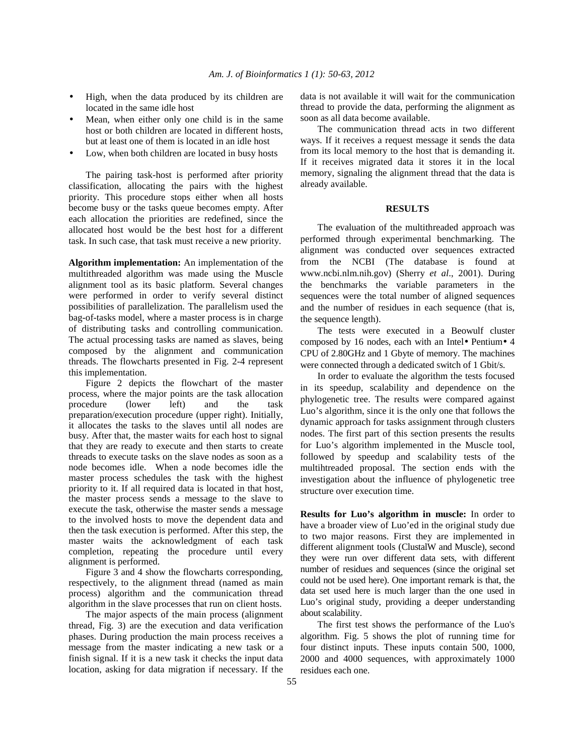- High, when the data produced by its children are located in the same idle host
- Mean, when either only one child is in the same host or both children are located in different hosts, but at least one of them is located in an idle host
- Low, when both children are located in busy hosts

 The pairing task-host is performed after priority classification, allocating the pairs with the highest priority. This procedure stops either when all hosts become busy or the tasks queue becomes empty. After each allocation the priorities are redefined, since the allocated host would be the best host for a different task. In such case, that task must receive a new priority.

**Algorithm implementation:** An implementation of the multithreaded algorithm was made using the Muscle alignment tool as its basic platform. Several changes were performed in order to verify several distinct possibilities of parallelization. The parallelism used the bag-of-tasks model, where a master process is in charge of distributing tasks and controlling communication. The actual processing tasks are named as slaves, being composed by the alignment and communication threads. The flowcharts presented in Fig. 2-4 represent this implementation.

 Figure 2 depicts the flowchart of the master process, where the major points are the task allocation procedure (lower left) and the task preparation/execution procedure (upper right). Initially, it allocates the tasks to the slaves until all nodes are busy. After that, the master waits for each host to signal that they are ready to execute and then starts to create threads to execute tasks on the slave nodes as soon as a node becomes idle. When a node becomes idle the master process schedules the task with the highest priority to it. If all required data is located in that host, the master process sends a message to the slave to execute the task, otherwise the master sends a message to the involved hosts to move the dependent data and then the task execution is performed. After this step, the master waits the acknowledgment of each task completion, repeating the procedure until every alignment is performed.

 Figure 3 and 4 show the flowcharts corresponding, respectively, to the alignment thread (named as main process) algorithm and the communication thread algorithm in the slave processes that run on client hosts.

 The major aspects of the main process (alignment thread, Fig. 3) are the execution and data verification phases. During production the main process receives a message from the master indicating a new task or a finish signal. If it is a new task it checks the input data location, asking for data migration if necessary. If the data is not available it will wait for the communication thread to provide the data, performing the alignment as soon as all data become available.

 The communication thread acts in two different ways. If it receives a request message it sends the data from its local memory to the host that is demanding it. If it receives migrated data it stores it in the local memory, signaling the alignment thread that the data is already available.

#### **RESULTS**

 The evaluation of the multithreaded approach was performed through experimental benchmarking. The alignment was conducted over sequences extracted from the NCBI (The database is found at www.ncbi.nlm.nih.gov) (Sherry *et al*., 2001). During the benchmarks the variable parameters in the sequences were the total number of aligned sequences and the number of residues in each sequence (that is, the sequence length).

 The tests were executed in a Beowulf cluster composed by 16 nodes, each with an Intel• Pentium• 4 CPU of 2.80GHz and 1 Gbyte of memory. The machines were connected through a dedicated switch of 1 Gbit/s.

 In order to evaluate the algorithm the tests focused in its speedup, scalability and dependence on the phylogenetic tree. The results were compared against Luo's algorithm, since it is the only one that follows the dynamic approach for tasks assignment through clusters nodes. The first part of this section presents the results for Luo's algorithm implemented in the Muscle tool, followed by speedup and scalability tests of the multihtreaded proposal. The section ends with the investigation about the influence of phylogenetic tree structure over execution time.

**Results for Luo's algorithm in muscle:** In order to have a broader view of Luo'ed in the original study due to two major reasons. First they are implemented in different alignment tools (ClustalW and Muscle), second they were run over different data sets, with different number of residues and sequences (since the original set could not be used here). One important remark is that, the data set used here is much larger than the one used in Luo's original study, providing a deeper understanding about scalability.

 The first test shows the performance of the Luo's algorithm. Fig. 5 shows the plot of running time for four distinct inputs. These inputs contain 500, 1000, 2000 and 4000 sequences, with approximately 1000 residues each one.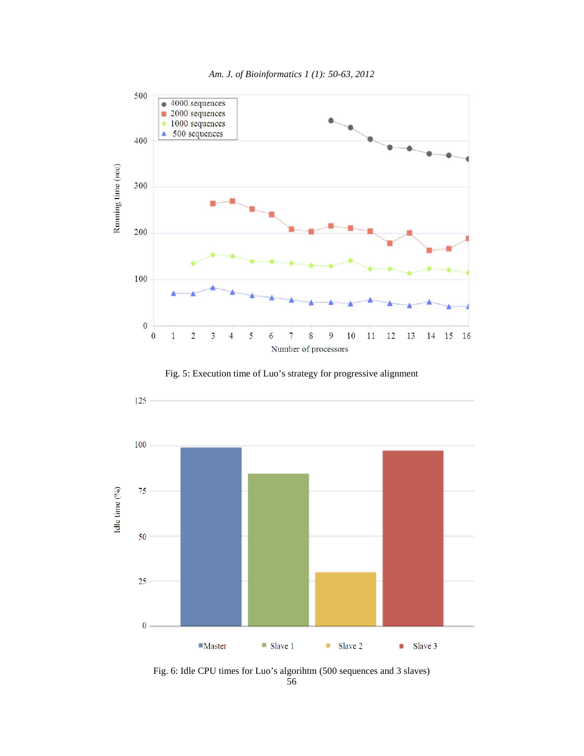

*Am. J. of Bioinformatics 1 (1): 50-63, 2012* 





56 Fig. 6: Idle CPU times for Luo's algorihtm (500 sequences and 3 slaves)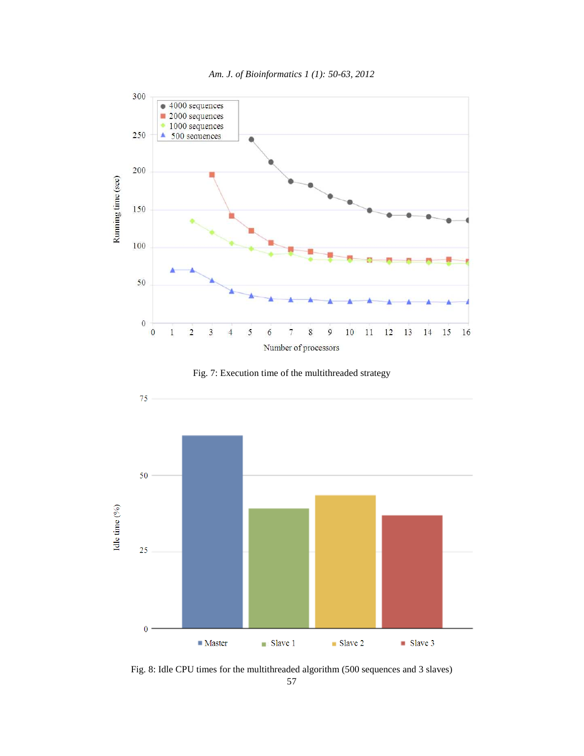







Fig. 8: Idle CPU times for the multithreaded algorithm (500 sequences and 3 slaves)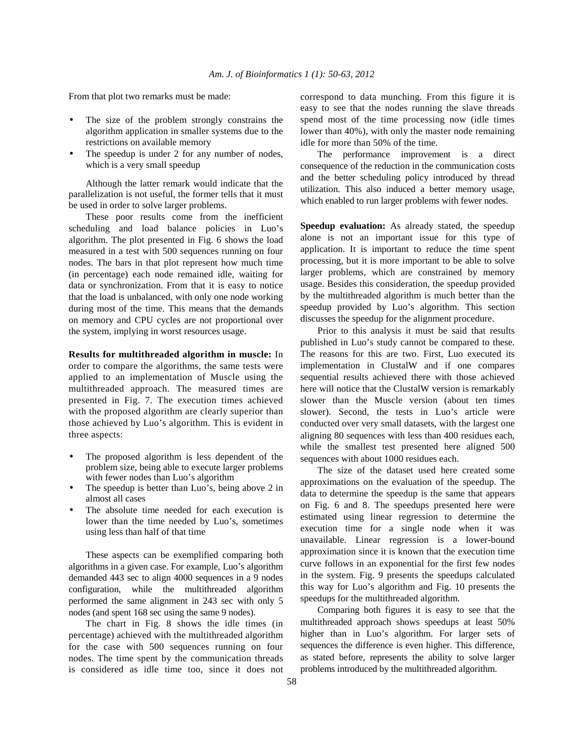From that plot two remarks must be made:

- The size of the problem strongly constrains the algorithm application in smaller systems due to the restrictions on available memory
- The speedup is under 2 for any number of nodes, which is a very small speedup

 Although the latter remark would indicate that the parallelization is not useful, the former tells that it must be used in order to solve larger problems.

 These poor results come from the inefficient scheduling and load balance policies in Luo's algorithm. The plot presented in Fig. 6 shows the load measured in a test with 500 sequences running on four nodes. The bars in that plot represent how much time (in percentage) each node remained idle, waiting for data or synchronization. From that it is easy to notice that the load is unbalanced, with only one node working during most of the time. This means that the demands on memory and CPU cycles are not proportional over the system, implying in worst resources usage.

**Results for multithreaded algorithm in muscle:** In order to compare the algorithms, the same tests were applied to an implementation of Muscle using the multithreaded approach. The measured times are presented in Fig. 7. The execution times achieved with the proposed algorithm are clearly superior than those achieved by Luo's algorithm. This is evident in three aspects:

- The proposed algorithm is less dependent of the problem size, being able to execute larger problems with fewer nodes than Luo's algorithm
- The speedup is better than Luo's, being above 2 in almost all cases
- The absolute time needed for each execution is lower than the time needed by Luo's, sometimes using less than half of that time

 These aspects can be exemplified comparing both algorithms in a given case. For example, Luo's algorithm demanded 443 sec to align 4000 sequences in a 9 nodes configuration, while the multithreaded algorithm performed the same alignment in 243 sec with only 5 nodes (and spent 168 sec using the same 9 nodes).

 The chart in Fig. 8 shows the idle times (in percentage) achieved with the multithreaded algorithm for the case with 500 sequences running on four nodes. The time spent by the communication threads is considered as idle time too, since it does not correspond to data munching. From this figure it is easy to see that the nodes running the slave threads spend most of the time processing now (idle times lower than 40%), with only the master node remaining idle for more than 50% of the time.

 The performance improvement is a direct consequence of the reduction in the communication costs and the better scheduling policy introduced by thread utilization. This also induced a better memory usage, which enabled to run larger problems with fewer nodes.

**Speedup evaluation:** As already stated, the speedup alone is not an important issue for this type of application. It is important to reduce the time spent processing, but it is more important to be able to solve larger problems, which are constrained by memory usage. Besides this consideration, the speedup provided by the multithreaded algorithm is much better than the speedup provided by Luo's algorithm. This section discusses the speedup for the alignment procedure.

 Prior to this analysis it must be said that results published in Luo's study cannot be compared to these. The reasons for this are two. First, Luo executed its implementation in ClustalW and if one compares sequential results achieved there with those achieved here will notice that the ClustalW version is remarkably slower than the Muscle version (about ten times slower). Second, the tests in Luo's article were conducted over very small datasets, with the largest one aligning 80 sequences with less than 400 residues each, while the smallest test presented here aligned 500 sequences with about 1000 residues each.

 The size of the dataset used here created some approximations on the evaluation of the speedup. The data to determine the speedup is the same that appears on Fig. 6 and 8. The speedups presented here were estimated using linear regression to determine the execution time for a single node when it was unavailable. Linear regression is a lower-bound approximation since it is known that the execution time curve follows in an exponential for the first few nodes in the system. Fig. 9 presents the speedups calculated this way for Luo's algorithm and Fig. 10 presents the speedups for the multithreaded algorithm.

 Comparing both figures it is easy to see that the multithreaded approach shows speedups at least 50% higher than in Luo's algorithm. For larger sets of sequences the difference is even higher. This difference, as stated before, represents the ability to solve larger problems introduced by the multithreaded algorithm.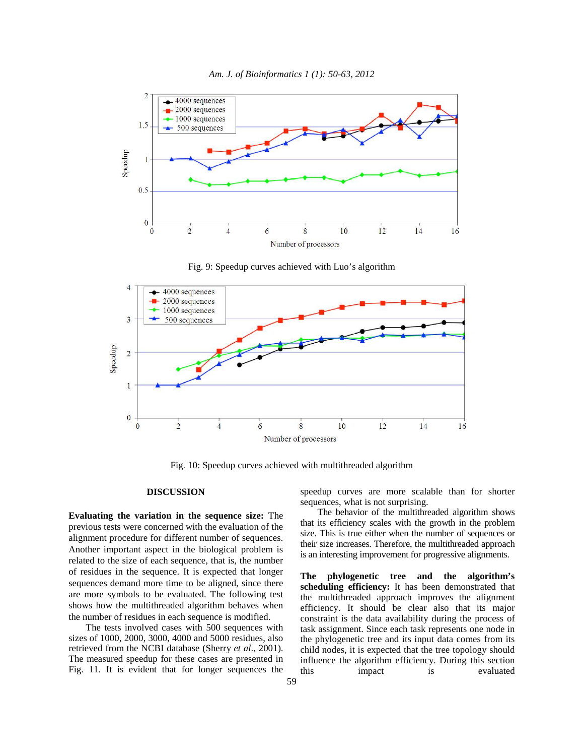



Fig. 9: Speedup curves achieved with Luo's algorithm



Fig. 10: Speedup curves achieved with multithreaded algorithm

## **DISCUSSION**

**Evaluating the variation in the sequence size:** The previous tests were concerned with the evaluation of the alignment procedure for different number of sequences. Another important aspect in the biological problem is related to the size of each sequence, that is, the number of residues in the sequence. It is expected that longer sequences demand more time to be aligned, since there are more symbols to be evaluated. The following test shows how the multithreaded algorithm behaves when the number of residues in each sequence is modified.

 The tests involved cases with 500 sequences with sizes of 1000, 2000, 3000, 4000 and 5000 residues, also retrieved from the NCBI database (Sherry *et al*., 2001). The measured speedup for these cases are presented in Fig. 11. It is evident that for longer sequences the

speedup curves are more scalable than for shorter sequences, what is not surprising.

 The behavior of the multithreaded algorithm shows that its efficiency scales with the growth in the problem size. This is true either when the number of sequences or their size increases. Therefore, the multithreaded approach is an interesting improvement for progressive alignments.

**The phylogenetic tree and the algorithm's scheduling efficiency:** It has been demonstrated that the multithreaded approach improves the alignment efficiency. It should be clear also that its major constraint is the data availability during the process of task assignment. Since each task represents one node in the phylogenetic tree and its input data comes from its child nodes, it is expected that the tree topology should influence the algorithm efficiency. During this section this impact is evaluated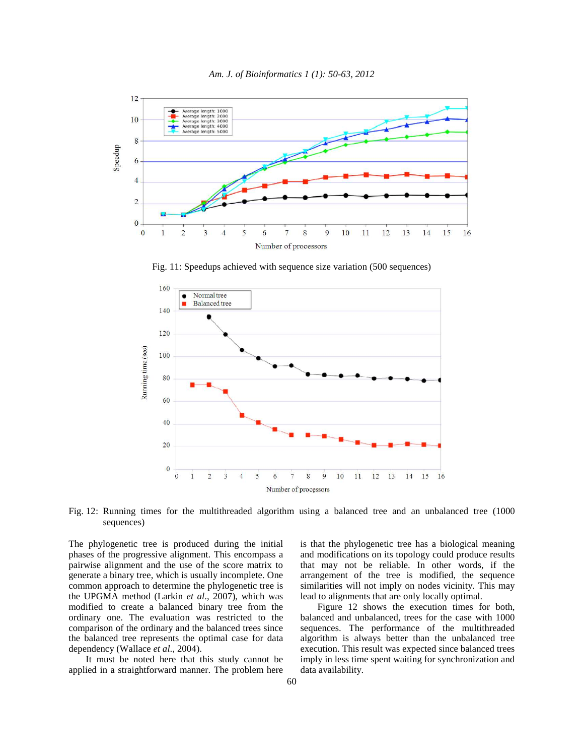



Fig. 11: Speedups achieved with sequence size variation (500 sequences)



Fig. 12: Running times for the multithreaded algorithm using a balanced tree and an unbalanced tree (1000) sequences)

The phylogenetic tree is produced during the initial phases of the progressive alignment. This encompass a pairwise alignment and the use of the score matrix to generate a binary tree, which is usually incomplete. One common approach to determine the phylogenetic tree is the UPGMA method (Larkin *et al*., 2007), which was modified to create a balanced binary tree from the ordinary one. The evaluation was restricted to the comparison of the ordinary and the balanced trees since the balanced tree represents the optimal case for data dependency (Wallace *et al*., 2004).

 It must be noted here that this study cannot be applied in a straightforward manner. The problem here is that the phylogenetic tree has a biological meaning and modifications on its topology could produce results that may not be reliable. In other words, if the arrangement of the tree is modified, the sequence similarities will not imply on nodes vicinity. This may lead to alignments that are only locally optimal.

 Figure 12 shows the execution times for both, balanced and unbalanced, trees for the case with 1000 sequences. The performance of the multithreaded algorithm is always better than the unbalanced tree execution. This result was expected since balanced trees imply in less time spent waiting for synchronization and data availability.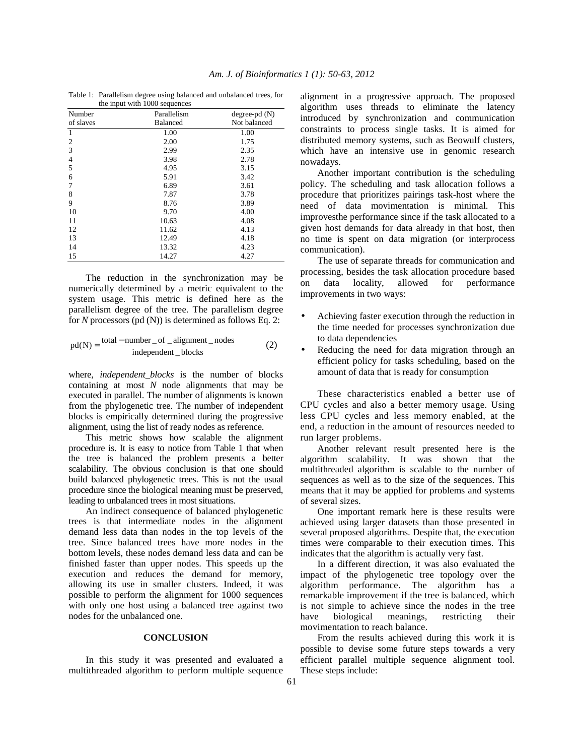Table 1: Parallelism degree using balanced and unbalanced trees, for the input with 1000 sequences

| Number<br>of slaves | <b></b><br>Parallelism<br><b>Balanced</b> | $degree-pd(N)$<br>Not balanced |
|---------------------|-------------------------------------------|--------------------------------|
| 1                   | 1.00                                      | 1.00                           |
| $\overline{2}$      | 2.00                                      | 1.75                           |
| 3                   | 2.99                                      | 2.35                           |
| $\overline{4}$      | 3.98                                      | 2.78                           |
| 5                   | 4.95                                      | 3.15                           |
| 6                   | 5.91                                      | 3.42                           |
| 7                   | 6.89                                      | 3.61                           |
| 8                   | 7.87                                      | 3.78                           |
| 9                   | 8.76                                      | 3.89                           |
| 10                  | 9.70                                      | 4.00                           |
| 11                  | 10.63                                     | 4.08                           |
| 12                  | 11.62                                     | 4.13                           |
| 13                  | 12.49                                     | 4.18                           |
| 14                  | 13.32                                     | 4.23                           |
| 15                  | 14.27                                     | 4.27                           |

 The reduction in the synchronization may be numerically determined by a metric equivalent to the system usage. This metric is defined here as the parallelism degree of the tree. The parallelism degree for *N* processors (pd (N)) is determined as follows Eq. 2:

$$
pd(N) = \frac{total-number_of_alignment\_nodes}{independent\_blocks}
$$
 (2)

where, *independent blocks* is the number of blocks containing at most *N* node alignments that may be executed in parallel. The number of alignments is known from the phylogenetic tree. The number of independent blocks is empirically determined during the progressive alignment, using the list of ready nodes as reference.

 This metric shows how scalable the alignment procedure is. It is easy to notice from Table 1 that when the tree is balanced the problem presents a better scalability. The obvious conclusion is that one should build balanced phylogenetic trees. This is not the usual procedure since the biological meaning must be preserved, leading to unbalanced trees in most situations.

 An indirect consequence of balanced phylogenetic trees is that intermediate nodes in the alignment demand less data than nodes in the top levels of the tree. Since balanced trees have more nodes in the bottom levels, these nodes demand less data and can be finished faster than upper nodes. This speeds up the execution and reduces the demand for memory, allowing its use in smaller clusters. Indeed, it was possible to perform the alignment for 1000 sequences with only one host using a balanced tree against two nodes for the unbalanced one.

### **CONCLUSION**

 In this study it was presented and evaluated a multithreaded algorithm to perform multiple sequence alignment in a progressive approach. The proposed algorithm uses threads to eliminate the latency introduced by synchronization and communication constraints to process single tasks. It is aimed for distributed memory systems, such as Beowulf clusters, which have an intensive use in genomic research nowadays.

 Another important contribution is the scheduling policy. The scheduling and task allocation follows a procedure that prioritizes pairings task-host where the need of data movimentation is minimal. This improvesthe performance since if the task allocated to a given host demands for data already in that host, then no time is spent on data migration (or interprocess communication).

 The use of separate threads for communication and processing, besides the task allocation procedure based on data locality, allowed for performance improvements in two ways:

- Achieving faster execution through the reduction in the time needed for processes synchronization due to data dependencies
- Reducing the need for data migration through an efficient policy for tasks scheduling, based on the amount of data that is ready for consumption

 These characteristics enabled a better use of CPU cycles and also a better memory usage. Using less CPU cycles and less memory enabled, at the end, a reduction in the amount of resources needed to run larger problems.

 Another relevant result presented here is the algorithm scalability. It was shown that the multithreaded algorithm is scalable to the number of sequences as well as to the size of the sequences. This means that it may be applied for problems and systems of several sizes.

 One important remark here is these results were achieved using larger datasets than those presented in several proposed algorithms. Despite that, the execution times were comparable to their execution times. This indicates that the algorithm is actually very fast.

 In a different direction, it was also evaluated the impact of the phylogenetic tree topology over the algorithm performance. The algorithm has a remarkable improvement if the tree is balanced, which is not simple to achieve since the nodes in the tree have biological meanings, restricting their movimentation to reach balance.

 From the results achieved during this work it is possible to devise some future steps towards a very efficient parallel multiple sequence alignment tool. These steps include: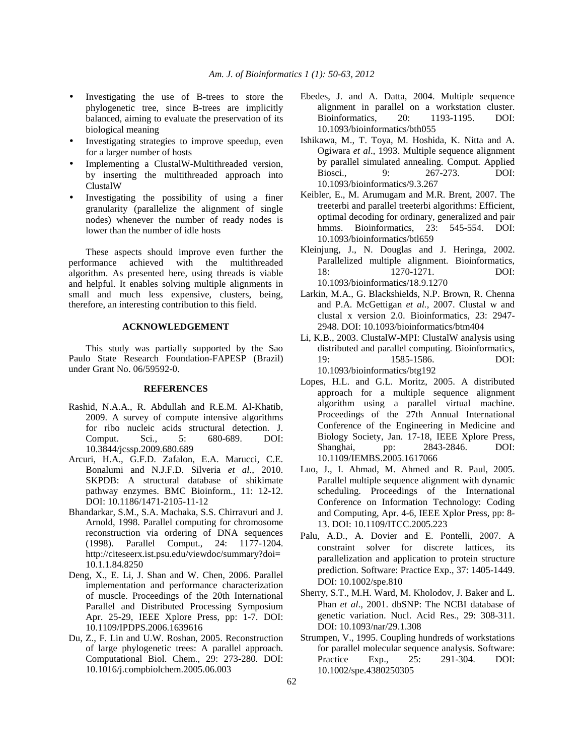- Investigating the use of B-trees to store the phylogenetic tree, since B-trees are implicitly balanced, aiming to evaluate the preservation of its biological meaning
- Investigating strategies to improve speedup, even for a larger number of hosts
- Implementing a ClustalW-Multithreaded version, by inserting the multithreaded approach into ClustalW
- Investigating the possibility of using a finer granularity (parallelize the alignment of single nodes) whenever the number of ready nodes is lower than the number of idle hosts

 These aspects should improve even further the performance achieved with the multithreaded algorithm. As presented here, using threads is viable and helpful. It enables solving multiple alignments in small and much less expensive, clusters, being, therefore, an interesting contribution to this field.

## **ACKNOWLEDGEMENT**

 This study was partially supported by the Sao Paulo State Research Foundation-FAPESP (Brazil) under Grant No. 06/59592-0.

### **REFERENCES**

- Rashid, N.A.A., R. Abdullah and R.E.M. Al-Khatib, 2009. A survey of compute intensive algorithms for ribo nucleic acids structural detection. J. Comput. Sci., 5: 680-689. DOI: 10.3844/jcssp.2009.680.689
- Arcuri, H.A., G.F.D. Zafalon, E.A. Marucci, C.E. Bonalumi and N.J.F.D. Silveria *et al*., 2010. SKPDB: A structural database of shikimate pathway enzymes. BMC Bioinform., 11: 12-12. DOI: 10.1186/1471-2105-11-12
- Bhandarkar, S.M., S.A. Machaka, S.S. Chirravuri and J. Arnold, 1998. Parallel computing for chromosome reconstruction via ordering of DNA sequences (1998). Parallel Comput., 24: 1177-1204. http://citeseerx.ist.psu.edu/viewdoc/summary?doi= 10.1.1.84.8250
- Deng, X., E. Li, J. Shan and W. Chen, 2006. Parallel implementation and performance characterization of muscle. Proceedings of the 20th International Parallel and Distributed Processing Symposium Apr. 25-29, IEEE Xplore Press, pp: 1-7. DOI: 10.1109/IPDPS.2006.1639616
- Du, Z., F. Lin and U.W. Roshan, 2005. Reconstruction of large phylogenetic trees: A parallel approach. Computational Biol. Chem., 29: 273-280. DOI: 10.1016/j.compbiolchem.2005.06.003
- Ebedes, J. and A. Datta, 2004. Multiple sequence alignment in parallel on a workstation cluster. Bioinformatics, 20: 1193-1195. DOI: 10.1093/bioinformatics/bth055
- Ishikawa, M., T. Toya, M. Hoshida, K. Nitta and A. Ogiwara *et al*., 1993. Multiple sequence alignment by parallel simulated annealing. Comput. Applied Biosci., 9: 267-273. DOI: 10.1093/bioinformatics/9.3.267
- Keibler, E., M. Arumugam and M.R. Brent, 2007. The treeterbi and parallel treeterbi algorithms: Efficient, optimal decoding for ordinary, generalized and pair hmms. Bioinformatics, 23: 545-554. DOI: 10.1093/bioinformatics/btl659
- Kleinjung, J., N. Douglas and J. Heringa, 2002. Parallelized multiple alignment. Bioinformatics, 18: 1270-1271. DOI: 10.1093/bioinformatics/18.9.1270
- Larkin, M.A., G. Blackshields, N.P. Brown, R. Chenna and P.A. McGettigan *et al.*, 2007. Clustal w and clustal x version 2.0. Bioinformatics, 23: 2947- 2948. DOI: 10.1093/bioinformatics/btm404
- Li, K.B., 2003. ClustalW-MPI: ClustalW analysis using distributed and parallel computing. Bioinformatics, 19: 1585-1586. DOI: 10.1093/bioinformatics/btg192
- Lopes, H.L. and G.L. Moritz, 2005. A distributed approach for a multiple sequence alignment algorithm using a parallel virtual machine. Proceedings of the 27th Annual International Conference of the Engineering in Medicine and Biology Society, Jan. 17-18, IEEE Xplore Press, Shanghai, pp: 2843-2846. DOI: 10.1109/IEMBS.2005.1617066
- Luo, J., I. Ahmad, M. Ahmed and R. Paul, 2005. Parallel multiple sequence alignment with dynamic scheduling. Proceedings of the International Conference on Information Technology: Coding and Computing, Apr. 4-6, IEEE Xplor Press, pp: 8- 13. DOI: 10.1109/ITCC.2005.223
- Palu, A.D., A. Dovier and E. Pontelli, 2007. A constraint solver for discrete lattices, its parallelization and application to protein structure prediction. Software: Practice Exp., 37: 1405-1449. DOI: 10.1002/spe.810
- Sherry, S.T., M.H. Ward, M. Kholodov, J. Baker and L. Phan *et al*., 2001. dbSNP: The NCBI database of genetic variation. Nucl. Acid Res., 29: 308-311. DOI: 10.1093/nar/29.1.308
- Strumpen, V., 1995. Coupling hundreds of workstations for parallel molecular sequence analysis. Software: Practice Exp., 25: 291-304. DOI: 10.1002/spe.4380250305